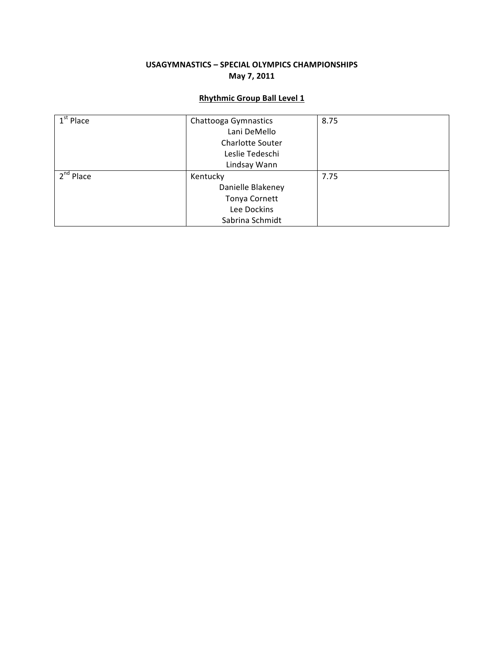### USAGYMNASTICS - SPECIAL OLYMPICS CHAMPIONSHIPS **May+7,+2011**

### **Rhythmic+Group+Ball Level+1**

| $\overline{1}^{\text{st}}$ Place | Chattooga Gymnastics    | 8.75 |
|----------------------------------|-------------------------|------|
|                                  | Lani DeMello            |      |
|                                  | <b>Charlotte Souter</b> |      |
|                                  | Leslie Tedeschi         |      |
|                                  | Lindsay Wann            |      |
| 2 <sup>nd</sup> Place            | Kentucky                | 7.75 |
|                                  | Danielle Blakeney       |      |
|                                  | Tonya Cornett           |      |
|                                  | Lee Dockins             |      |
|                                  | Sabrina Schmidt         |      |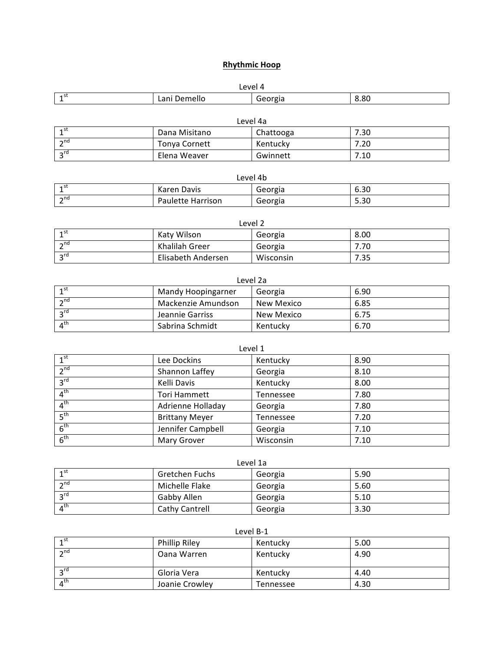### **Rhythmic Hoop**

| $    -$                  |  |  |  |  |
|--------------------------|--|--|--|--|
| 8.80<br>- 2<br>.<br>: HU |  |  |  |  |
|                          |  |  |  |  |

| Level 4a                  |               |           |      |  |
|---------------------------|---------------|-----------|------|--|
| ⊸rst                      | Dana Misitano | Chattooga | 7.30 |  |
| $\neg$ <sup>nd</sup>      | Tonya Cornett | Kentucky  | 7.20 |  |
| $\mathcal{P}^{\text{rd}}$ | Elena Weaver  | Gwinnett  | 7.10 |  |

| Level 4b              |                   |         |      |
|-----------------------|-------------------|---------|------|
| <b>A</b> 56           | Karen Davis       | Georgia | 6.30 |
| $\sim$ nd<br><u>.</u> | Paulette Harrison | Georgia | 5.30 |

| Level 2           |                    |           |      |  |
|-------------------|--------------------|-----------|------|--|
| 1 <sub>st</sub>   | Katy Wilson        | Georgia   | 8.00 |  |
| $\mathcal{L}$ nd  | Khalilah Greer     | Georgia   | 7.70 |  |
| $\overline{2}$ rd | Elisabeth Andersen | Wisconsin | 7.35 |  |

| Level 2a              |                           |            |      |  |
|-----------------------|---------------------------|------------|------|--|
| 1 <sub>st</sub>       | <b>Mandy Hoopingarner</b> | Georgia    | 6.90 |  |
| $\mathbf{a}$ nd       | Mackenzie Amundson        | New Mexico | 6.85 |  |
| $2^{\text{rd}}$       | Jeannie Garriss           | New Mexico | 6.75 |  |
| $\Lambda^{\text{th}}$ | Sabrina Schmidt           | Kentucky   | 6.70 |  |

| Level 1         |                       |           |      |  |
|-----------------|-----------------------|-----------|------|--|
| 1 <sup>st</sup> | Lee Dockins           | Kentucky  | 8.90 |  |
| 2 <sub>nd</sub> | Shannon Laffey        | Georgia   | 8.10 |  |
| $3^{\text{rd}}$ | Kelli Davis           | Kentucky  | 8.00 |  |
| 4 <sup>th</sup> | Tori Hammett          | Tennessee | 7.80 |  |
| 4 <sup>th</sup> | Adrienne Holladay     | Georgia   | 7.80 |  |
| 5 <sup>th</sup> | <b>Brittany Meyer</b> | Tennessee | 7.20 |  |
| 6 <sup>th</sup> | Jennifer Campbell     | Georgia   | 7.10 |  |
| 6 <sup>th</sup> | <b>Mary Grover</b>    | Wisconsin | 7.10 |  |

| Level 1a                   |                |         |      |  |
|----------------------------|----------------|---------|------|--|
| $\lambda$ st               | Gretchen Fuchs | Georgia | 5.90 |  |
| $\mathbf{a}$ nd            | Michelle Flake | Georgia | 5.60 |  |
| 2rd                        | Gabby Allen    | Georgia | 5.10 |  |
| $\overline{4}^{\text{th}}$ | Cathy Cantrell | Georgia | 3.30 |  |

| ⊿ st                  | <b>Phillip Riley</b> | Kentucky  | 5.00 |
|-----------------------|----------------------|-----------|------|
| $\sim$ nd             | Oana Warren          | Kentucky  | 4.90 |
| ⊤rd                   | Gloria Vera          | Kentucky  | 4.40 |
| $\Lambda^{\text{th}}$ | Joanie Crowley       | Tennessee | 4.30 |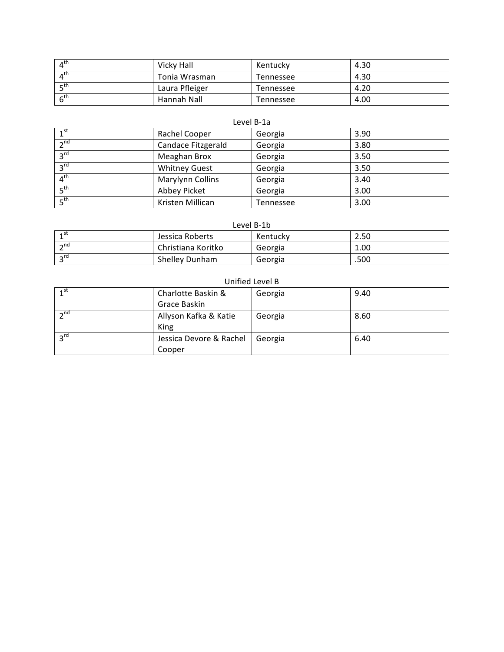| $\mathbf{A}^{\text{th}}$ | Vicky Hall     | Kentucky  | 4.30 |
|--------------------------|----------------|-----------|------|
| $\Lambda^{\text{th}}$    | Tonia Wrasman  | Tennessee | 4.30 |
| _ ∟th                    | Laura Pfleiger | Tennessee | 4.20 |
| 6 <sup>th</sup>          | Hannah Nall    | Tennessee | 4.00 |

#### Level B-1a

| $1^{\text{st}}$ | Rachel Cooper        | Georgia   | 3.90 |
|-----------------|----------------------|-----------|------|
| 2 <sup>nd</sup> | Candace Fitzgerald   | Georgia   | 3.80 |
| $3^{\text{rd}}$ | Meaghan Brox         | Georgia   | 3.50 |
| 3 <sup>rd</sup> | <b>Whitney Guest</b> | Georgia   | 3.50 |
| 4 <sup>th</sup> | Marylynn Collins     | Georgia   | 3.40 |
| $E^{\text{th}}$ | Abbey Picket         | Georgia   | 3.00 |
| 5 <sup>th</sup> | Kristen Millican     | Tennessee | 3.00 |

#### Level B-1b

| ⊿st        | Jessica Roberts    | Kentucky | 2.50 |
|------------|--------------------|----------|------|
| $\lnot$ nd | Christiana Koritko | Georgia  | 1.00 |
| $\lnot$ rd | Shelley Dunham     | Georgia  | .500 |

### Unified Level B

| 1 <sup>st</sup> | Charlotte Baskin &      | Georgia | 9.40 |
|-----------------|-------------------------|---------|------|
|                 | Grace Baskin            |         |      |
| $2^{nd}$        | Allyson Kafka & Katie   | Georgia | 8.60 |
|                 | King                    |         |      |
| $2^{\text{rd}}$ | Jessica Devore & Rachel | Georgia | 6.40 |
|                 | Cooper                  |         |      |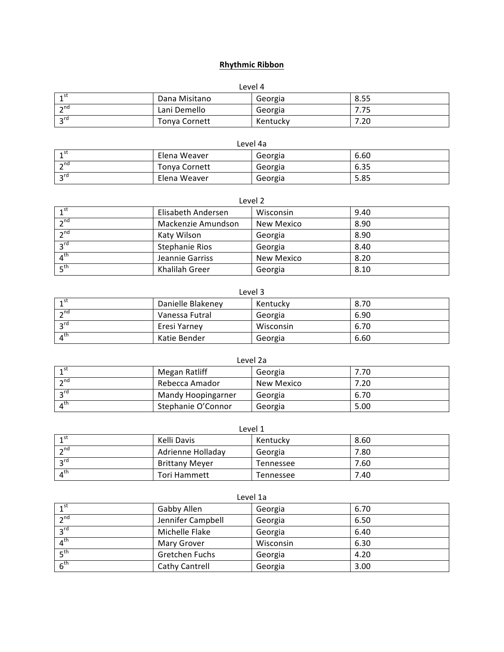### **Rhythmic+Ribbon**

| Level 4         |               |          |      |
|-----------------|---------------|----------|------|
| ⊿st             | Dana Misitano | Georgia  | 8.55 |
| $\neg$ nd       | Lani Demello  | Georgia  | 7.75 |
| $2^{\text{rd}}$ | Tonya Cornett | Kentucky | 7.20 |

| Level 4a  |                      |         |      |
|-----------|----------------------|---------|------|
| ⊿st       | Elena Weaver         | Georgia | 6.60 |
| $\sim$ nd | <b>Tonya Cornett</b> | Georgia | 6.35 |
| rd د      | Elena Weaver         | Georgia | 5.85 |

| Level 2           |                       |            |      |
|-------------------|-----------------------|------------|------|
| 1 <sup>st</sup>   | Elisabeth Andersen    | Wisconsin  | 9.40 |
| 2 <sub>nd</sub>   | Mackenzie Amundson    | New Mexico | 8.90 |
| 2 <sup>nd</sup>   | Katy Wilson           | Georgia    | 8.90 |
| 3 <sup>rd</sup>   | <b>Stephanie Rios</b> | Georgia    | 8.40 |
| 4 <sup>th</sup>   | Jeannie Garriss       | New Mexico | 8.20 |
| $F$ <sup>th</sup> | Khalilah Greer        | Georgia    | 8.10 |

| Level 3                    |                   |           |      |
|----------------------------|-------------------|-----------|------|
| 1 <sup>st</sup>            | Danielle Blakeney | Kentucky  | 8.70 |
| $\neg$ <sup>nd</sup>       | Vanessa Futral    | Georgia   | 6.90 |
| $2^{\text{rd}}$            | Eresi Yarney      | Wisconsin | 6.70 |
| $\overline{4}^{\text{th}}$ | Katie Bender      | Georgia   | 6.60 |

| Level 2a                |                    |            |      |
|-------------------------|--------------------|------------|------|
| 1 <sub>st</sub>         | Megan Ratliff      | Georgia    | 7.70 |
| $\overline{\mathbf{a}}$ | Rebecca Amador     | New Mexico | 7.20 |
| $2^{\text{rd}}$         | Mandy Hoopingarner | Georgia    | 6.70 |
| $4^{\text{th}}$         | Stephanie O'Connor | Georgia    | 5.00 |

| Level 1                  |                       |           |      |
|--------------------------|-----------------------|-----------|------|
| $\mathbf{1}^{\text{st}}$ | Kelli Davis           | Kentucky  | 8.60 |
| $\mathbf{a}$ nd          | Adrienne Holladay     | Georgia   | 7.80 |
| $2^{\text{rd}}$          | <b>Brittany Meyer</b> | Tennessee | 7.60 |
| $\Lambda^{\text{th}}$    | Tori Hammett          | Tennessee | 7.40 |

| Level 1a |  |
|----------|--|

| 1 <sup>st</sup> | Gabby Allen       | Georgia   | 6.70 |
|-----------------|-------------------|-----------|------|
| $\lambda$ nd    | Jennifer Campbell | Georgia   | 6.50 |
| rd <sub>د</sub> | Michelle Flake    | Georgia   | 6.40 |
| $4^{\text{th}}$ | Mary Grover       | Wisconsin | 6.30 |
| 5 <sup>th</sup> | Gretchen Fuchs    | Georgia   | 4.20 |
| 6 <sup>th</sup> | Cathy Cantrell    | Georgia   | 3.00 |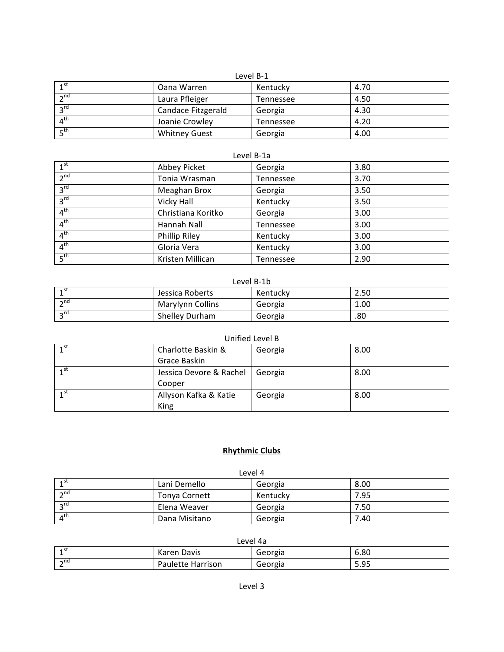#### Level B-1

| 1 <sup>st</sup>  | Oana Warren          | Kentucky  | 4.70 |
|------------------|----------------------|-----------|------|
| $\mathcal{P}$ nd | Laura Pfleiger       | Tennessee | 4.50 |
| $2^{\text{rd}}$  | Candace Fitzgerald   | Georgia   | 4.30 |
| $4^{\text{th}}$  | Joanie Crowley       | Tennessee | 4.20 |
| ∟, ⊾             | <b>Whitney Guest</b> | Georgia   | 4.00 |

| Level B-1a      |                    |           |      |  |
|-----------------|--------------------|-----------|------|--|
| 1 <sup>st</sup> | Abbey Picket       | Georgia   | 3.80 |  |
| 2 <sup>nd</sup> | Tonia Wrasman      | Tennessee | 3.70 |  |
| 3 <sup>rd</sup> | Meaghan Brox       | Georgia   | 3.50 |  |
| 3 <sup>rd</sup> | Vicky Hall         | Kentucky  | 3.50 |  |
| 4 <sup>th</sup> | Christiana Koritko | Georgia   | 3.00 |  |
| 4 <sup>th</sup> | Hannah Nall        | Tennessee | 3.00 |  |
| 4 <sup>th</sup> | Phillip Riley      | Kentucky  | 3.00 |  |
| 4 <sup>th</sup> | Gloria Vera        | Kentucky  | 3.00 |  |
| 5 <sup>th</sup> | Kristen Millican   | Tennessee | 2.90 |  |

#### Level B-1b

| ⊿st        | Jessica Roberts  | Kentuckv | 2.50 |
|------------|------------------|----------|------|
| $\sim$ nd  | Marylynn Collins | Georgia  | 1.00 |
| $\lnot$ rd | Shelley Durham   | Georgia  | .80  |

### Unified Level B

| 1 <sub>st</sub> | Charlotte Baskin &      | Georgia | 8.00 |
|-----------------|-------------------------|---------|------|
|                 | Grace Baskin            |         |      |
| 1 <sup>st</sup> | Jessica Devore & Rachel | Georgia | 8.00 |
|                 | Cooper                  |         |      |
| 1 <sub>st</sub> | Allyson Kafka & Katie   | Georgia | 8.00 |
|                 | King                    |         |      |

### **Rhythmic+Clubs**

| Level 4                  |               |          |      |
|--------------------------|---------------|----------|------|
| ⊿st                      | Lani Demello  | Georgia  | 8.00 |
| $\sim$ nd                | Tonya Cornett | Kentucky | 7.95 |
| $\mathcal{L}$ rd         | Elena Weaver  | Georgia  | 7.50 |
| $\mathbf{A}^{\text{th}}$ | Dana Misitano | Georgia  | 7.40 |

| 4 ST<br><b>.</b> | Karen Davis       | Georgia | 6.80    |
|------------------|-------------------|---------|---------|
| $\lnot$ nd<br>∠  | Paulette Harrison | Georgia | Q۵<br>. |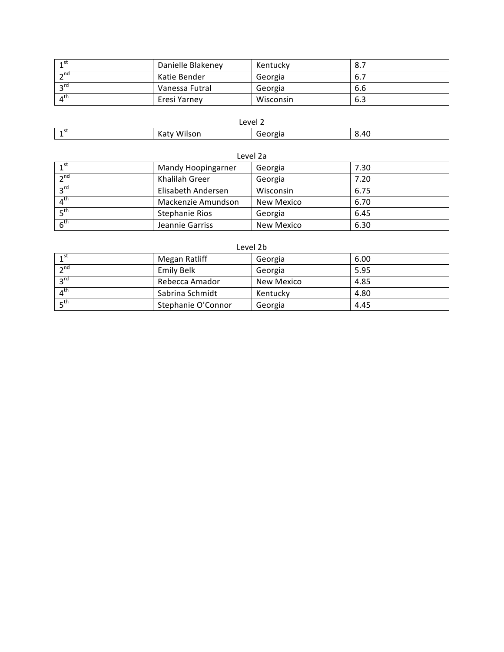| ⊿st                        | Danielle Blakeney | Kentucky  | 8.7 |
|----------------------------|-------------------|-----------|-----|
| $\neg$ <sup>nd</sup>       | Katie Bender      | Georgia   | 6., |
| $\mathsf{P}^{\mathsf{rd}}$ | Vanessa Futral    | Georgia   | 6.6 |
| $\mathbf{1}^{\text{th}}$   | Eresi Yarney      | Wisconsin | 6.3 |

| Level 2     |                            |                      |             |
|-------------|----------------------------|----------------------|-------------|
| <b>4</b> SL | .<br>. .<br>Wilson<br>Katy | .<br>٦Ρ<br>יי<br>--- | 8.40<br>___ |

| Level 2a        |                       |            |      |  |
|-----------------|-----------------------|------------|------|--|
| 1 <sup>st</sup> | Mandy Hoopingarner    | Georgia    | 7.30 |  |
| 2 <sub>nd</sub> | Khalilah Greer        | Georgia    | 7.20 |  |
| $2^{\text{rd}}$ | Elisabeth Andersen    | Wisconsin  | 6.75 |  |
| $4^{\text{th}}$ | Mackenzie Amundson    | New Mexico | 6.70 |  |
| 5 <sup>th</sup> | <b>Stephanie Rios</b> | Georgia    | 6.45 |  |
| $6^{\text{th}}$ | Jeannie Garriss       | New Mexico | 6.30 |  |

| Level 2b                 |                    |            |      |  |
|--------------------------|--------------------|------------|------|--|
| 1 <sup>st</sup>          | Megan Ratliff      | Georgia    | 6.00 |  |
| $2^{nd}$                 | Emily Belk         | Georgia    | 5.95 |  |
| $2^{\text{rd}}$          | Rebecca Amador     | New Mexico | 4.85 |  |
| $\mathbf{A}^{\text{th}}$ | Sabrina Schmidt    | Kentucky   | 4.80 |  |
| $F^{th}$                 | Stephanie O'Connor | Georgia    | 4.45 |  |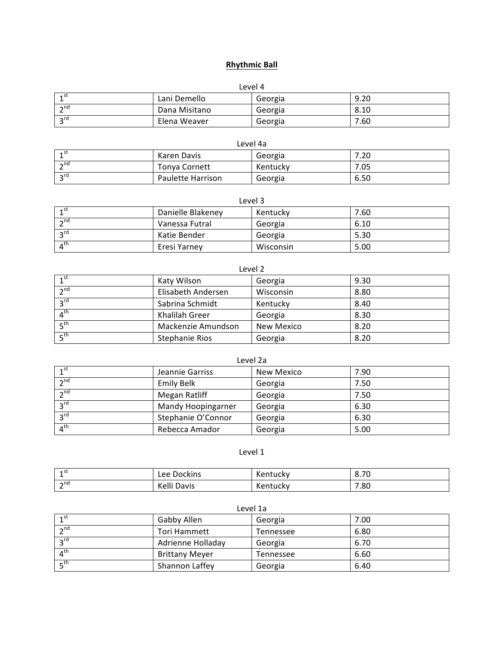### **Rhythmic+Ball**

| Level 4         |               |         |      |  |
|-----------------|---------------|---------|------|--|
| 1st             | Lani Demello  | Georgia | 9.20 |  |
| $\mathbf{a}$ nd | Dana Misitano | Georgia | 8.10 |  |
| $2^{\text{rd}}$ | Elena Weaver  | Georgia | 7.60 |  |

| Level 4a        |                      |          |      |
|-----------------|----------------------|----------|------|
| 4 st            | Karen Davis          | Georgia  | 7.20 |
| $\sim$ nd       | <b>Tonya Cornett</b> | Kentuckv | 7.05 |
| $2^{\text{rd}}$ | Paulette Harrison    | Georgia  | 6.50 |

| Level 3                              |                   |           |      |
|--------------------------------------|-------------------|-----------|------|
| 1 <sub>1</sub> st                    | Danielle Blakeney | Kentucky  | 7.60 |
| $\mathbf{a}$ nd                      | Vanessa Futral    | Georgia   | 6.10 |
| $2^{\text{rd}}$                      | Katie Bender      | Georgia   | 5.30 |
| $\boldsymbol{\Lambda}^{\textsf{th}}$ | Eresi Yarney      | Wisconsin | 5.00 |

| Level 2         |                       |            |      |  |
|-----------------|-----------------------|------------|------|--|
| 1 <sup>st</sup> | Katy Wilson           | Georgia    | 9.30 |  |
| 2 <sup>nd</sup> | Elisabeth Andersen    | Wisconsin  | 8.80 |  |
| $3^{rd}$        | Sabrina Schmidt       | Kentucky   | 8.40 |  |
| 4 <sup>th</sup> | Khalilah Greer        | Georgia    | 8.30 |  |
| 5 <sup>th</sup> | Mackenzie Amundson    | New Mexico | 8.20 |  |
| 5 <sup>th</sup> | <b>Stephanie Rios</b> | Georgia    | 8.20 |  |

| Level 2a        |                    |            |      |  |
|-----------------|--------------------|------------|------|--|
| $1^{\text{st}}$ | Jeannie Garriss    | New Mexico | 7.90 |  |
| 2 <sub>nd</sub> | <b>Emily Belk</b>  | Georgia    | 7.50 |  |
| 2 <sub>nd</sub> | Megan Ratliff      | Georgia    | 7.50 |  |
| $3^{\text{rd}}$ | Mandy Hoopingarner | Georgia    | 6.30 |  |
| $3^{\text{rd}}$ | Stephanie O'Connor | Georgia    | 6.30 |  |
| $4^{\text{th}}$ | Rebecca Amador     | Georgia    | 5.00 |  |

### Level 1

| <b>4</b> SL<br><b>.</b>     | ckinsا<br>Lee<br>ו זנ | uuun                  | $\overline{\phantom{a}}$<br><br>0. / U |
|-----------------------------|-----------------------|-----------------------|----------------------------------------|
| $\mathsf{h}$ nd<br><u>.</u> | . .<br>Kelli Davis    | ⌒<br><b>ACTILULAY</b> | 80.'                                   |

| LEVEI 14        |                       |           |      |
|-----------------|-----------------------|-----------|------|
| 1 <sup>st</sup> | Gabby Allen           | Georgia   | 7.00 |
| $\mathbf{a}$ nd | <b>Tori Hammett</b>   | Tennessee | 6.80 |
| $2^{\text{rd}}$ | Adrienne Holladay     | Georgia   | 6.70 |
| $4^{\text{th}}$ | <b>Brittany Meyer</b> | Tennessee | 6.60 |
| $E^{\text{th}}$ | Shannon Laffey        | Georgia   | 6.40 |

#### Level!1a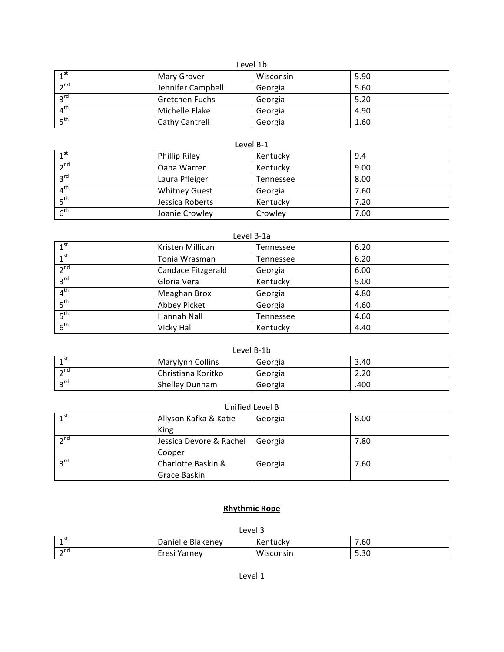### Level 1b

| $\lambda$ st          | Mary Grover       | Wisconsin | 5.90 |
|-----------------------|-------------------|-----------|------|
| $\sim$ nd             | Jennifer Campbell | Georgia   | 5.60 |
| $2^{\text{rd}}$       | Gretchen Fuchs    | Georgia   | 5.20 |
| $\Lambda^{\text{th}}$ | Michelle Flake    | Georgia   | 4.90 |
| ⊾, ⊾                  | Cathy Cantrell    | Georgia   | 1.60 |

#### Level B-1

| 1 <sup>st</sup> | <b>Phillip Riley</b> | Kentucky  | 9.4  |
|-----------------|----------------------|-----------|------|
| $2^{nd}$        | Oana Warren          | Kentucky  | 9.00 |
| 3 <sup>rd</sup> | Laura Pfleiger       | Tennessee | 8.00 |
| 4 <sup>th</sup> | <b>Whitney Guest</b> | Georgia   | 7.60 |
| $E^{\text{th}}$ | Jessica Roberts      | Kentucky  | 7.20 |
| 6 <sup>th</sup> | Joanie Crowley       | Crowley   | 7.00 |

#### Level B-1a

| $1^{\text{st}}$ | Kristen Millican   | Tennessee | 6.20 |
|-----------------|--------------------|-----------|------|
| 1 <sup>st</sup> | Tonia Wrasman      | Tennessee | 6.20 |
| 2 <sup>nd</sup> | Candace Fitzgerald | Georgia   | 6.00 |
| 3 <sup>rd</sup> | Gloria Vera        | Kentucky  | 5.00 |
| 4 <sup>th</sup> | Meaghan Brox       | Georgia   | 4.80 |
| 5 <sup>th</sup> | Abbey Picket       | Georgia   | 4.60 |
| 5 <sup>th</sup> | Hannah Nall        | Tennessee | 4.60 |
| 6 <sup>th</sup> | Vicky Hall         | Kentucky  | 4.40 |

#### Level B-1b

| ។ St      | Marylynn Collins   | Georgia | 3.40 |
|-----------|--------------------|---------|------|
| $\sim$ nd | Christiana Koritko | Georgia | 2.20 |
| $\sim$ rd | Shelley Dunham     | Georgia | .400 |

### Unified Level B

| $\mathbf{1}^{\text{st}}$ | Allyson Kafka & Katie   | Georgia | 8.00 |
|--------------------------|-------------------------|---------|------|
|                          | King                    |         |      |
| $\lambda$ nd             | Jessica Devore & Rachel | Georgia | 7.80 |
|                          | Cooper                  |         |      |
| $2^{\text{rd}}$          | Charlotte Baskin &      | Georgia | 7.60 |
|                          | Grace Baskin            |         |      |

### **Rhythmic+Rope**

| Level 3                                      |              |           |      |  |
|----------------------------------------------|--------------|-----------|------|--|
| ⊿st<br>Danielle Blakeney<br>7.60<br>Kentucky |              |           |      |  |
| $\sim$ nd<br><u>.</u>                        | Eresi Yarney | Wisconsin | 5.30 |  |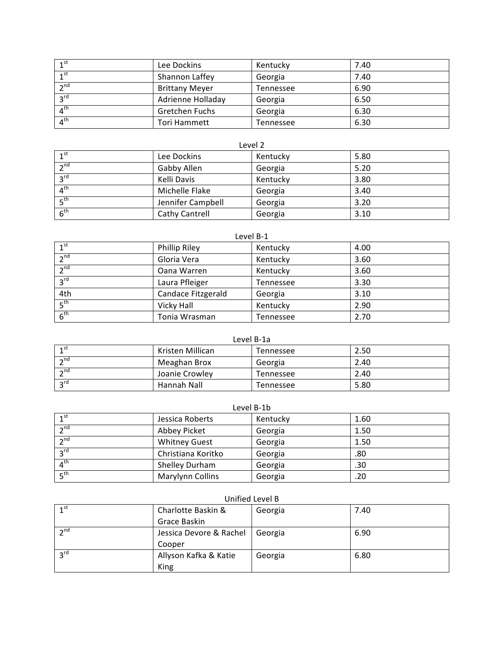| 1 <sup>st</sup> | Lee Dockins           | Kentucky  | 7.40 |
|-----------------|-----------------------|-----------|------|
| 1 <sup>st</sup> | Shannon Laffey        | Georgia   | 7.40 |
| 2 <sup>nd</sup> | <b>Brittany Meyer</b> | Tennessee | 6.90 |
| 3 <sup>rd</sup> | Adrienne Holladay     | Georgia   | 6.50 |
| 4 <sup>th</sup> | Gretchen Fuchs        | Georgia   | 6.30 |
| 4 <sup>th</sup> | Tori Hammett          | Tennessee | 6.30 |

| LL V L I <i>L</i>                    |                   |          |      |  |
|--------------------------------------|-------------------|----------|------|--|
| 1 <sub>1</sub> st                    | Lee Dockins       | Kentucky | 5.80 |  |
| $2^{nd}$                             | Gabby Allen       | Georgia  | 5.20 |  |
| rd و                                 | Kelli Davis       | Kentucky | 3.80 |  |
| $\boldsymbol{\Lambda}^{\textsf{th}}$ | Michelle Flake    | Georgia  | 3.40 |  |
| ⊾th                                  | Jennifer Campbell | Georgia  | 3.20 |  |
| 6 <sup>th</sup>                      | Cathy Cantrell    | Georgia  | 3.10 |  |

### Level B-1

| 1 <sup>st</sup> | <b>Phillip Riley</b> | Kentucky  | 4.00 |
|-----------------|----------------------|-----------|------|
| 2 <sub>nd</sub> | Gloria Vera          | Kentucky  | 3.60 |
| 2 <sub>n</sub>  | Oana Warren          | Kentucky  | 3.60 |
| 3 <sup>rd</sup> | Laura Pfleiger       | Tennessee | 3.30 |
| 4th             | Candace Fitzgerald   | Georgia   | 3.10 |
| 5 <sup>th</sup> | Vicky Hall           | Kentucky  | 2.90 |
| 6 <sup>th</sup> | Tonia Wrasman        | Tennessee | 2.70 |

#### Level B-1a

| ⊿st                        | Kristen Millican | Tennessee | 2.50 |
|----------------------------|------------------|-----------|------|
| $\sim$ nd                  | Meaghan Brox     | Georgia   | 2.40 |
| $\sim$ nd                  | Joanie Crowley   | Tennessee | 2.40 |
| $\mathsf{P}^{\mathsf{rd}}$ | Hannah Nall      | Tennessee | 5.80 |

| 1 <sup>st</sup>          | Jessica Roberts      | Kentucky | 1.60 |
|--------------------------|----------------------|----------|------|
| 2 <sub>nd</sub>          | Abbey Picket         | Georgia  | 1.50 |
| 2 <sub>nd</sub>          | <b>Whitney Guest</b> | Georgia  | 1.50 |
| $2^{\text{rd}}$          | Christiana Koritko   | Georgia  | .80  |
| $\overline{4^{th}}$      | Shelley Durham       | Georgia  | .30  |
| $\mathbf{r}^{\text{th}}$ | Marylynn Collins     | Georgia  | .20  |

### Unified Level B

| 1 <sup>st</sup> | Charlotte Baskin &                | Georgia | 7.40 |
|-----------------|-----------------------------------|---------|------|
|                 | Grace Baskin                      |         |      |
| $\mathbf{a}$ nd | Jessica Devore & Rachel   Georgia |         | 6.90 |
|                 | Cooper                            |         |      |
| $2^{\text{rd}}$ | Allyson Kafka & Katie             | Georgia | 6.80 |
|                 | King                              |         |      |

# Level 2

# Level B-1b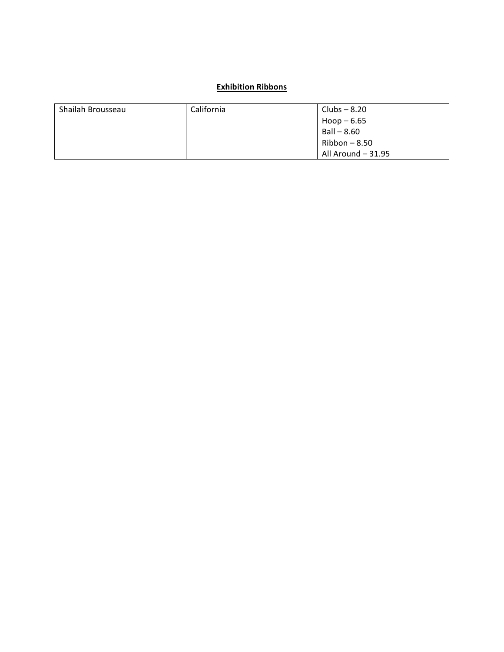### **Exhibition Ribbons**

| Shailah Brousseau | California | Clubs – 8.20       |
|-------------------|------------|--------------------|
|                   |            | $Hoop - 6.65$      |
|                   |            | Ball - 8.60        |
|                   |            | $Ribbon - 8.50$    |
|                   |            | All Around - 31.95 |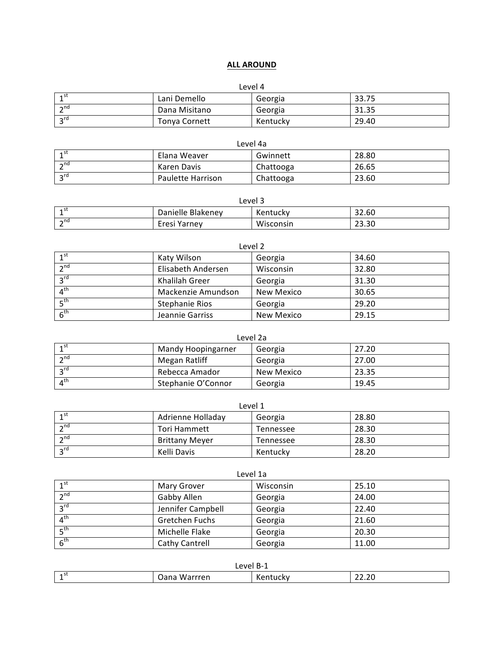### **ALL+AROUND**

#### Level 4

| ⊿st            | Lani Demello         | Georgia  | 33.75 |
|----------------|----------------------|----------|-------|
| $\neg$ nd<br>∼ | Dana Misitano        | Georgia  | 31.35 |
| $\sim$ rd      | <b>Tonya Cornett</b> | Kentuckv | 29.40 |

| Level 4a        |                   |           |       |
|-----------------|-------------------|-----------|-------|
|                 | Elana Weaver      | Gwinnett  | 28.80 |
| $\sim$ nd       | Karen Davis       | Chattooga | 26.65 |
| $2^{\text{rd}}$ | Paulette Harrison | Chattooga | 23.60 |

| Level 3    |                   |           |       |
|------------|-------------------|-----------|-------|
| ⊿st        | Danielle Blakeney | Kentucky  | 32.60 |
| $\lnot$ nd | Eresi Yarney      | Wisconsin | 23.30 |

| Level 2         |                       |            |       |
|-----------------|-----------------------|------------|-------|
| 1 <sup>st</sup> | Katy Wilson           | Georgia    | 34.60 |
| $2^{nd}$        | Elisabeth Andersen    | Wisconsin  | 32.80 |
| 3 <sup>rd</sup> | Khalilah Greer        | Georgia    | 31.30 |
| 4 <sup>th</sup> | Mackenzie Amundson    | New Mexico | 30.65 |
| 5 <sup>th</sup> | <b>Stephanie Rios</b> | Georgia    | 29.20 |
| 6 <sup>th</sup> | Jeannie Garriss       | New Mexico | 29.15 |

| Level 2a              |                    |            |       |
|-----------------------|--------------------|------------|-------|
| $\lambda$ st          | Mandy Hoopingarner | Georgia    | 27.20 |
| $\mathbf{a}$ nd       | Megan Ratliff      | Georgia    | 27.00 |
| $2^{\text{rd}}$       | Rebecca Amador     | New Mexico | 23.35 |
| $\Lambda^{\text{th}}$ | Stephanie O'Connor | Georgia    | 19.45 |

| LEVEL 1                    |                       |           |       |
|----------------------------|-----------------------|-----------|-------|
| 1st                        | Adrienne Holladav     | Georgia   | 28.80 |
| $\mathsf{h}$ nd            | Tori Hammett          | Tennessee | 28.30 |
| $\sim$ nd                  | <b>Brittany Meyer</b> | Tennessee | 28.30 |
| $\mathsf{P}^{\mathsf{rd}}$ | Kelli Davis           | Kentuckv  | 28.20 |

| Level 1a              |                       |           |       |  |
|-----------------------|-----------------------|-----------|-------|--|
| 1 <sup>st</sup>       | Mary Grover           | Wisconsin | 25.10 |  |
| 2 <sub>n</sub>        | Gabby Allen           | Georgia   | 24.00 |  |
| $2^{\text{rd}}$       | Jennifer Campbell     | Georgia   | 22.40 |  |
| $\Lambda^{\text{th}}$ | Gretchen Fuchs        | Georgia   | 21.60 |  |
| $E^{\text{th}}$       | Michelle Flake        | Georgia   | 20.30 |  |
| 6 <sup>th</sup>       | <b>Cathy Cantrell</b> | Georgia   | 11.00 |  |

| $Level B-1$     |              |               |                        |  |
|-----------------|--------------|---------------|------------------------|--|
| ⊿st<br><b>.</b> | Oana Warrren | Ken<br>ituckv | $\sim$<br>. .<br>22.ZU |  |

### Level 1